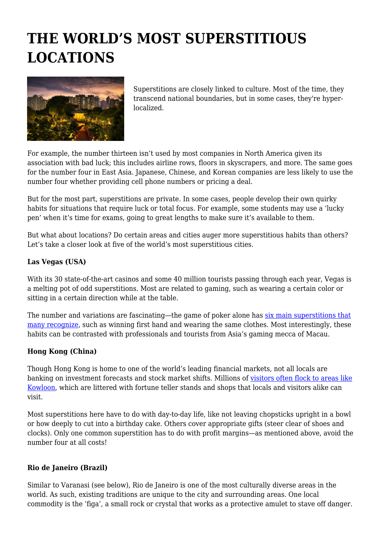# **THE WORLD'S MOST SUPERSTITIOUS LOCATIONS**



Superstitions are closely linked to culture. Most of the time, they transcend national boundaries, but in some cases, they're hyperlocalized.

For example, the number thirteen isn't used by most companies in North America given its association with bad luck; this includes airline rows, floors in skyscrapers, and more. The same goes for the number four in East Asia. Japanese, Chinese, and Korean companies are less likely to use the number four whether providing cell phone numbers or pricing a deal.

But for the most part, superstitions are private. In some cases, people develop their own quirky habits for situations that require luck or total focus. For example, some students may use a 'lucky pen' when it's time for exams, going to great lengths to make sure it's available to them.

But what about locations? Do certain areas and cities auger more superstitious habits than others? Let's take a closer look at five of the world's most superstitious cities.

## **Las Vegas (USA)**

With its 30 state-of-the-art casinos and some 40 million tourists passing through each year, Vegas is a melting pot of odd superstitions. Most are related to gaming, such as wearing a certain color or sitting in a certain direction while at the table.

The number and variations are fascinating—the game of poker alone has [six main superstitions that](https://www.pokerstars.com/en/news/top-six-poker-superstitions/59736/) [many recognize,](https://www.pokerstars.com/en/news/top-six-poker-superstitions/59736/) such as winning first hand and wearing the same clothes. Most interestingly, these habits can be contrasted with professionals and tourists from Asia's gaming mecca of Macau.

### **Hong Kong (China)**

Though Hong Kong is home to one of the world's leading financial markets, not all locals are banking on investment forecasts and stock market shifts. Millions of [visitors often flock to areas like](https://www.tourism-review.com/top-most-visited-cities-around-the-world-news11315) [Kowloon,](https://www.tourism-review.com/top-most-visited-cities-around-the-world-news11315) which are littered with fortune teller stands and shops that locals and visitors alike can visit.

Most superstitions here have to do with day-to-day life, like not leaving chopsticks upright in a bowl or how deeply to cut into a birthday cake. Others cover appropriate gifts (steer clear of shoes and clocks). Only one common superstition has to do with profit margins—as mentioned above, avoid the number four at all costs!

### **Rio de Janeiro (Brazil)**

Similar to Varanasi (see below), Rio de Janeiro is one of the most culturally diverse areas in the world. As such, existing traditions are unique to the city and surrounding areas. One local commodity is the 'figa', a small rock or crystal that works as a protective amulet to stave off danger.